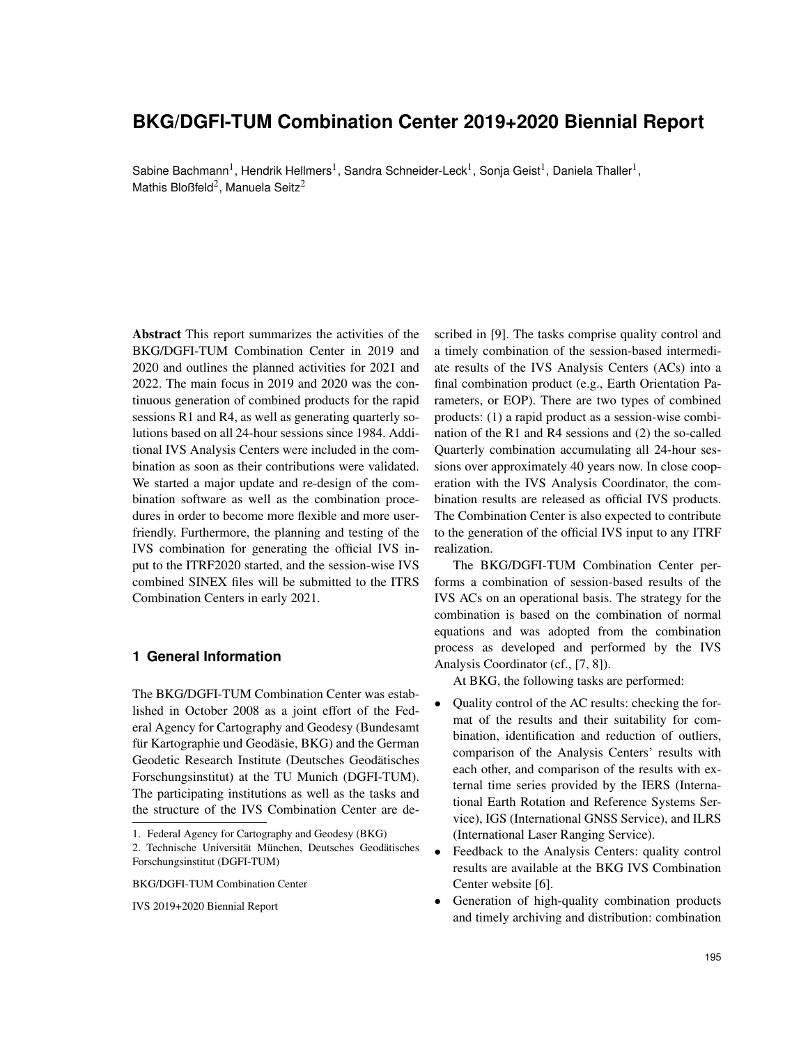# **BKG/DGFI-TUM Combination Center 2019+2020 Biennial Report**

Sabine Bachmann<sup>1</sup>, Hendrik Hellmers<sup>1</sup>, Sandra Schneider-Leck<sup>1</sup>, Sonja Geist<sup>1</sup>, Daniela Thaller<sup>1</sup>, Mathis Bloßfeld<sup>2</sup>, Manuela Seitz<sup>2</sup>

Abstract This report summarizes the activities of the BKG/DGFI-TUM Combination Center in 2019 and 2020 and outlines the planned activities for 2021 and 2022. The main focus in 2019 and 2020 was the continuous generation of combined products for the rapid sessions R1 and R4, as well as generating quarterly solutions based on all 24-hour sessions since 1984. Additional IVS Analysis Centers were included in the combination as soon as their contributions were validated. We started a major update and re-design of the combination software as well as the combination procedures in order to become more flexible and more userfriendly. Furthermore, the planning and testing of the IVS combination for generating the official IVS input to the ITRF2020 started, and the session-wise IVS combined SINEX files will be submitted to the ITRS Combination Centers in early 2021.

## **1 General Information**

The BKG/DGFI-TUM Combination Center was established in October 2008 as a joint effort of the Federal Agency for Cartography and Geodesy (Bundesamt für Kartographie und Geodäsie, BKG) and the German Geodetic Research Institute (Deutsches Geodätisches Forschungsinstitut) at the TU Munich (DGFI-TUM). The participating institutions as well as the tasks and the structure of the IVS Combination Center are de-

BKG/DGFI-TUM Combination Center

IVS 2019+2020 Biennial Report

scribed in [9]. The tasks comprise quality control and a timely combination of the session-based intermediate results of the IVS Analysis Centers (ACs) into a final combination product (e.g., Earth Orientation Parameters, or EOP). There are two types of combined products: (1) a rapid product as a session-wise combination of the R1 and R4 sessions and (2) the so-called Quarterly combination accumulating all 24-hour sessions over approximately 40 years now. In close cooperation with the IVS Analysis Coordinator, the combination results are released as official IVS products. The Combination Center is also expected to contribute to the generation of the official IVS input to any ITRF realization.

The BKG/DGFI-TUM Combination Center performs a combination of session-based results of the IVS ACs on an operational basis. The strategy for the combination is based on the combination of normal equations and was adopted from the combination process as developed and performed by the IVS Analysis Coordinator (cf., [7, 8]).

At BKG, the following tasks are performed:

- Quality control of the AC results: checking the format of the results and their suitability for combination, identification and reduction of outliers, comparison of the Analysis Centers' results with each other, and comparison of the results with external time series provided by the IERS (International Earth Rotation and Reference Systems Service), IGS (International GNSS Service), and ILRS (International Laser Ranging Service).
- Feedback to the Analysis Centers: quality control results are available at the BKG IVS Combination Center website [6].
- Generation of high-quality combination products and timely archiving and distribution: combination

<sup>1.</sup> Federal Agency for Cartography and Geodesy (BKG)

<sup>2.</sup> Technische Universität München, Deutsches Geodätisches Forschungsinstitut (DGFI-TUM)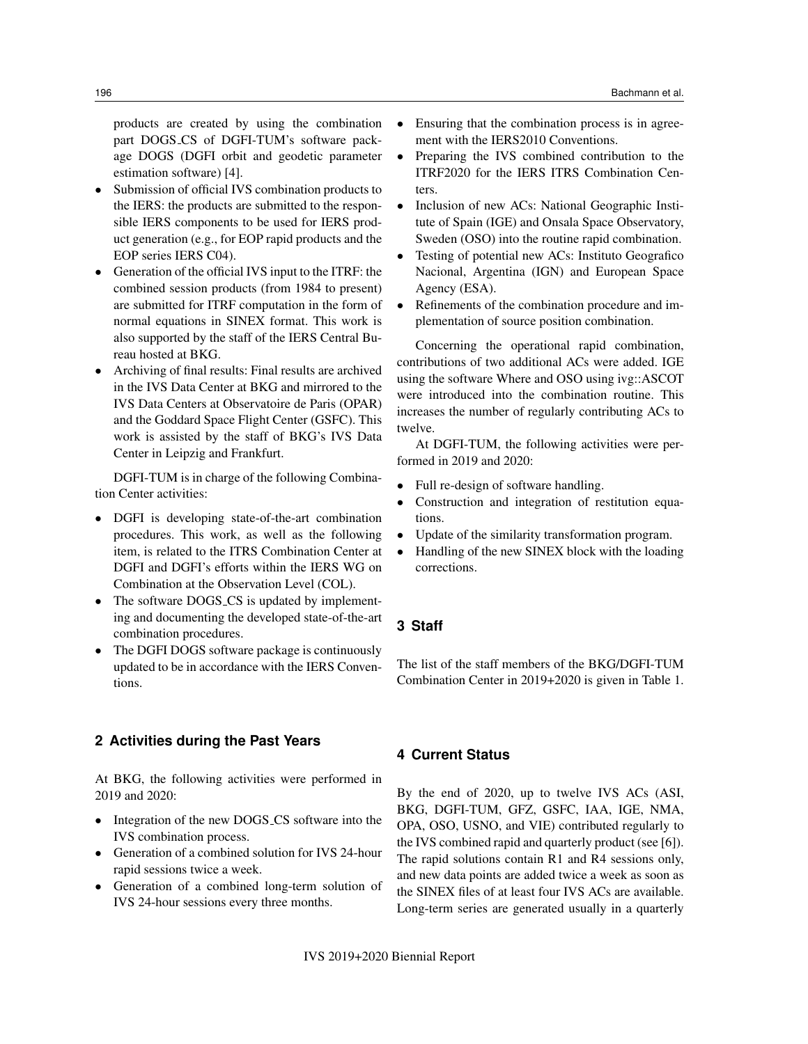products are created by using the combination part DOGS CS of DGFI-TUM's software package DOGS (DGFI orbit and geodetic parameter estimation software) [4].

- Submission of official IVS combination products to the IERS: the products are submitted to the responsible IERS components to be used for IERS product generation (e.g., for EOP rapid products and the EOP series IERS C04).
- Generation of the official IVS input to the ITRF: the combined session products (from 1984 to present) are submitted for ITRF computation in the form of normal equations in SINEX format. This work is also supported by the staff of the IERS Central Bureau hosted at BKG.
- Archiving of final results: Final results are archived in the IVS Data Center at BKG and mirrored to the IVS Data Centers at Observatoire de Paris (OPAR) and the Goddard Space Flight Center (GSFC). This work is assisted by the staff of BKG's IVS Data Center in Leipzig and Frankfurt.

DGFI-TUM is in charge of the following Combination Center activities:

- DGFI is developing state-of-the-art combination procedures. This work, as well as the following item, is related to the ITRS Combination Center at DGFI and DGFI's efforts within the IERS WG on Combination at the Observation Level (COL).
- The software DOGS\_CS is updated by implementing and documenting the developed state-of-the-art combination procedures.
- The DGFI DOGS software package is continuously updated to be in accordance with the IERS Conventions.

# **2 Activities during the Past Years**

At BKG, the following activities were performed in 2019 and 2020:

- Integration of the new DOGS\_CS software into the IVS combination process.
- Generation of a combined solution for IVS 24-hour rapid sessions twice a week.
- Generation of a combined long-term solution of IVS 24-hour sessions every three months.
- Ensuring that the combination process is in agreement with the IERS2010 Conventions.
- Preparing the IVS combined contribution to the ITRF2020 for the IERS ITRS Combination Centers.
- Inclusion of new ACs: National Geographic Institute of Spain (IGE) and Onsala Space Observatory, Sweden (OSO) into the routine rapid combination.
- Testing of potential new ACs: Instituto Geografico Nacional, Argentina (IGN) and European Space Agency (ESA).
- Refinements of the combination procedure and implementation of source position combination.

Concerning the operational rapid combination, contributions of two additional ACs were added. IGE using the software Where and OSO using ivg::ASCOT were introduced into the combination routine. This increases the number of regularly contributing ACs to twelve.

At DGFI-TUM, the following activities were performed in 2019 and 2020:

- Full re-design of software handling.
- Construction and integration of restitution equations.
- Update of the similarity transformation program.
- Handling of the new SINEX block with the loading corrections.

#### **3 Staff**

The list of the staff members of the BKG/DGFI-TUM Combination Center in 2019+2020 is given in Table 1.

#### **4 Current Status**

By the end of 2020, up to twelve IVS ACs (ASI, BKG, DGFI-TUM, GFZ, GSFC, IAA, IGE, NMA, OPA, OSO, USNO, and VIE) contributed regularly to the IVS combined rapid and quarterly product (see [6]). The rapid solutions contain R1 and R4 sessions only, and new data points are added twice a week as soon as the SINEX files of at least four IVS ACs are available. Long-term series are generated usually in a quarterly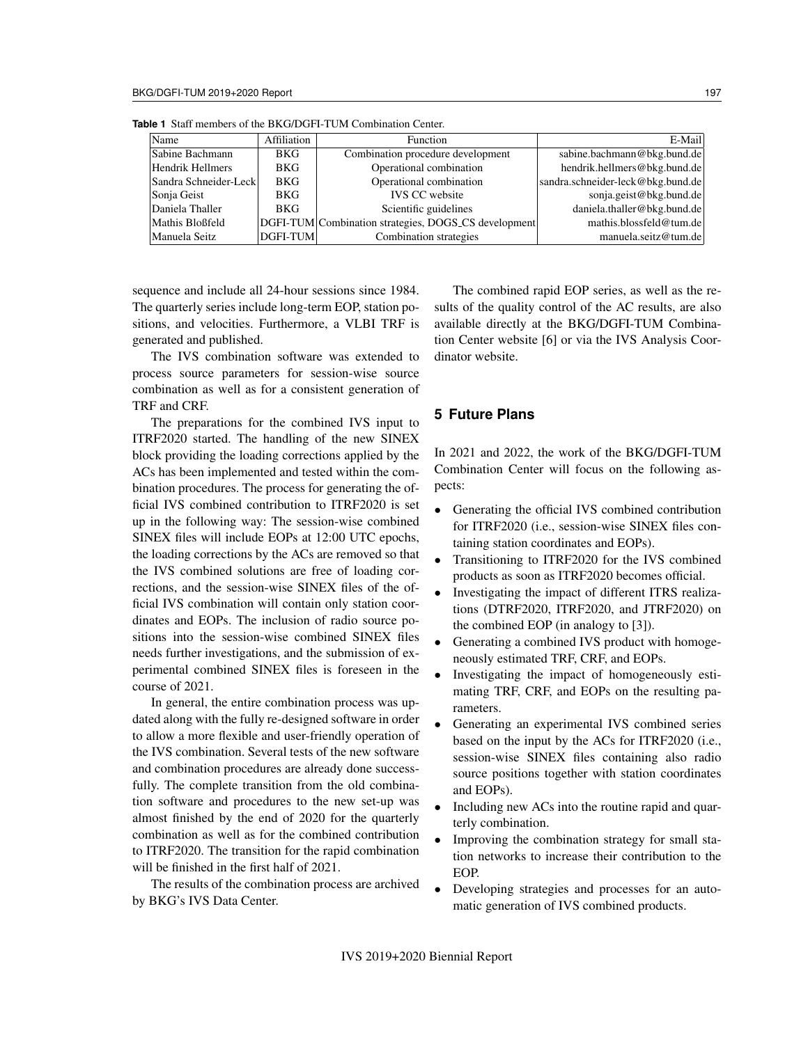| Name                  | Affiliation     | Function                                             | E-Mail                            |
|-----------------------|-----------------|------------------------------------------------------|-----------------------------------|
| Sabine Bachmann       | <b>BKG</b>      | Combination procedure development                    | sabine.bachmann@bkg.bund.de       |
| Hendrik Hellmers      | <b>BKG</b>      | Operational combination                              | hendrik.hellmers@bkg.bund.de      |
| Sandra Schneider-Leck | <b>BKG</b>      | Operational combination                              | sandra.schneider-leck@bkg.bund.de |
| Sonja Geist           | <b>BKG</b>      | <b>IVS CC</b> website                                | sonja.geist@bkg.bund.de           |
| Daniela Thaller       | <b>BKG</b>      | Scientific guidelines                                | daniela.thaller@bkg.bund.de       |
| Mathis Bloßfeld       |                 | DGFI-TUM Combination strategies, DOGS_CS development | mathis.blossfeld@tum.de           |
| Manuela Seitz         | <b>DGFI-TUM</b> | Combination strategies                               | manuela.seitz@tum.de              |

**Table 1** Staff members of the BKG/DGFI-TUM Combination Center.

sequence and include all 24-hour sessions since 1984. The quarterly series include long-term EOP, station positions, and velocities. Furthermore, a VLBI TRF is generated and published.

The IVS combination software was extended to process source parameters for session-wise source combination as well as for a consistent generation of TRF and CRF.

The preparations for the combined IVS input to ITRF2020 started. The handling of the new SINEX block providing the loading corrections applied by the ACs has been implemented and tested within the combination procedures. The process for generating the official IVS combined contribution to ITRF2020 is set up in the following way: The session-wise combined SINEX files will include EOPs at 12:00 UTC epochs, the loading corrections by the ACs are removed so that the IVS combined solutions are free of loading corrections, and the session-wise SINEX files of the official IVS combination will contain only station coordinates and EOPs. The inclusion of radio source positions into the session-wise combined SINEX files needs further investigations, and the submission of experimental combined SINEX files is foreseen in the course of 2021.

In general, the entire combination process was updated along with the fully re-designed software in order to allow a more flexible and user-friendly operation of the IVS combination. Several tests of the new software and combination procedures are already done successfully. The complete transition from the old combination software and procedures to the new set-up was almost finished by the end of 2020 for the quarterly combination as well as for the combined contribution to ITRF2020. The transition for the rapid combination will be finished in the first half of 2021.

The results of the combination process are archived by BKG's IVS Data Center.

The combined rapid EOP series, as well as the results of the quality control of the AC results, are also available directly at the BKG/DGFI-TUM Combination Center website [6] or via the IVS Analysis Coordinator website.

# **5 Future Plans**

In 2021 and 2022, the work of the BKG/DGFI-TUM Combination Center will focus on the following aspects:

- Generating the official IVS combined contribution for ITRF2020 (i.e., session-wise SINEX files containing station coordinates and EOPs).
- Transitioning to ITRF2020 for the IVS combined products as soon as ITRF2020 becomes official.
- Investigating the impact of different ITRS realizations (DTRF2020, ITRF2020, and JTRF2020) on the combined EOP (in analogy to [3]).
- Generating a combined IVS product with homogeneously estimated TRF, CRF, and EOPs.
- Investigating the impact of homogeneously estimating TRF, CRF, and EOPs on the resulting parameters.
- Generating an experimental IVS combined series based on the input by the ACs for ITRF2020 (i.e., session-wise SINEX files containing also radio source positions together with station coordinates and EOPs).
- Including new ACs into the routine rapid and quarterly combination.
- Improving the combination strategy for small station networks to increase their contribution to the EOP.
- Developing strategies and processes for an automatic generation of IVS combined products.